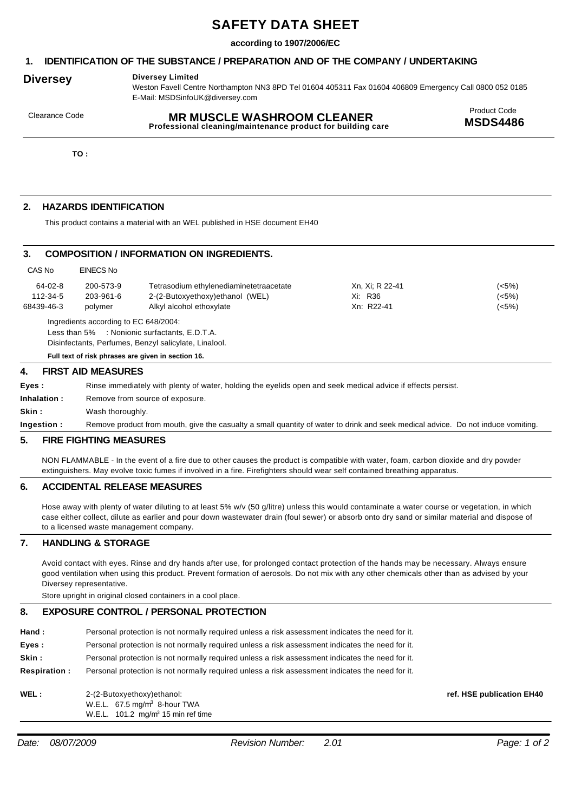# **SAFETY DATA SHEET**

#### **according to 1907/2006/EC**

#### **1. IDENTIFICATION OF THE SUBSTANCE / PREPARATION AND OF THE COMPANY / UNDERTAKING**

## **Diversey Diversey Limited**

Weston Favell Centre Northampton NN3 8PD Tel 01604 405311 Fax 01604 406809 Emergency Call 0800 052 0185 E-Mail: MSDSinfoUK@diversey.com

# Product Code Clearance Code **MR MUSCLE WASHROOM CLEANER**

**Professional cleaning/maintenance product for building care** 

**TO :**

### **2. HAZARDS IDENTIFICATION**

This product contains a material with an WEL published in HSE document EH40

#### **3. COMPOSITION / INFORMATION ON INGREDIENTS.**

| CAS No     | EINECS No                             |                                         |                 |       |
|------------|---------------------------------------|-----------------------------------------|-----------------|-------|
| 64-02-8    | 200-573-9                             | Tetrasodium ethylenediaminetetraacetate | Xn, Xi; R 22-41 | (<5%) |
| 112-34-5   | 203-961-6                             | 2-(2-Butoxyethoxy)ethanol (WEL)         | Xi: R36         | (<5%) |
| 68439-46-3 | polymer                               | Alkyl alcohol ethoxylate                | Xn: R22-41      | (5%)  |
|            | Ingredients according to EC 648/2004: |                                         |                 |       |
|            | Less than 5%                          | : Nonionic surfactants, E.D.T.A.        |                 |       |

Disinfectants, Perfumes, Benzyl salicylate, Linalool.

**Full text of risk phrases are given in section 16.**

#### **4. FIRST AID MEASURES**

| Eves :       | Rinse immediately with plenty of water, holding the eyelids open and seek medical advice if effects persist.                     |  |  |
|--------------|----------------------------------------------------------------------------------------------------------------------------------|--|--|
| Inhalation : | Remove from source of exposure.                                                                                                  |  |  |
| Skin :       | Wash thoroughly.                                                                                                                 |  |  |
| Ingestion :  | Remove product from mouth, give the casualty a small quantity of water to drink and seek medical advice. Do not induce vomiting. |  |  |

#### **5. FIRE FIGHTING MEASURES**

NON FLAMMABLE - In the event of a fire due to other causes the product is compatible with water, foam, carbon dioxide and dry powder extinguishers. May evolve toxic fumes if involved in a fire. Firefighters should wear self contained breathing apparatus.

#### **6. ACCIDENTAL RELEASE MEASURES**

Hose away with plenty of water diluting to at least 5% w/v (50 g/litre) unless this would contaminate a water course or vegetation, in which case either collect, dilute as earlier and pour down wastewater drain (foul sewer) or absorb onto dry sand or similar material and dispose of to a licensed waste management company.

#### **7. HANDLING & STORAGE**

Avoid contact with eyes. Rinse and dry hands after use, for prolonged contact protection of the hands may be necessary. Always ensure good ventilation when using this product. Prevent formation of aerosols. Do not mix with any other chemicals other than as advised by your Diversey representative.

Store upright in original closed containers in a cool place.

#### **8. EXPOSURE CONTROL / PERSONAL PROTECTION**

| Hand :        | Personal protection is not normally required unless a risk assessment indicates the need for it. |  |  |  |
|---------------|--------------------------------------------------------------------------------------------------|--|--|--|
| $\sim$ $\sim$ |                                                                                                  |  |  |  |

**Eyes : Skin :** Personal protection is not normally required unless a risk assessment indicates the need for it.

Personal protection is not normally required unless a risk assessment indicates the need for it.

**Respiration :** Personal protection is not normally required unless a risk assessment indicates the need for it.

#### **WEL:** 2-(2-Butoxyethoxy)ethanol: W.E.L. 67.5 mg/m<sup>3</sup> 8-hour TWA W.E.L.  $101.2 \, \text{mg/m}^3$  15 min ref time

**ref. HSE publication EH40**